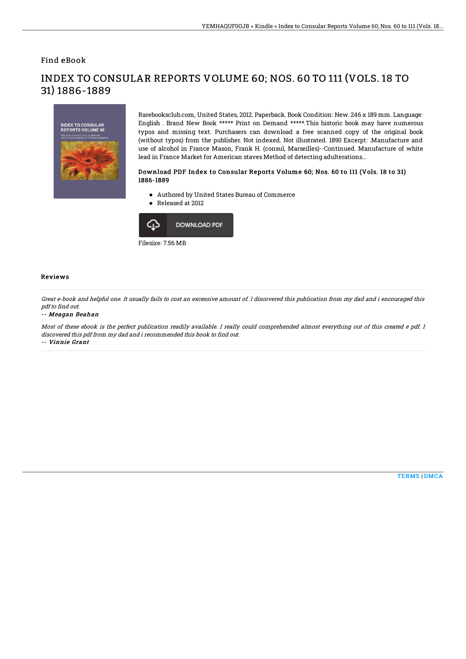## Find eBook

31) 1886-1889

# **INDEX TO CONSULAR<br>REPORTS VOLUME 60**

Rarebooksclub.com, United States, 2012. Paperback. Book Condition: New. 246 x 189 mm. Language: English . Brand New Book \*\*\*\*\* Print on Demand \*\*\*\*\*.This historic book may have numerous typos and missing text. Purchasers can download a free scanned copy of the original book (without typos) from the publisher. Not indexed. Not illustrated. 1890 Excerpt: .Manufacture and use of alcohol in France Mason, Frank H. (consul, Marseilles)--Continued. Manufacture of white lead in France Market for American staves Method of detecting adulterations...

### Download PDF Index to Consular Reports Volume 60; Nos. 60 to 111 (Vols. 18 to 31) 1886-1889

Authored by United States Bureau of Commerce

INDEX TO CONSULAR REPORTS VOLUME 60; NOS. 60 TO 111 (VOLS. 18 TO

● Released at 2012



Filesize: 7.56 MB

### Reviews

Great e-book and helpful one. It usually fails to cost an excessive amount of. I discovered this publication from my dad and i encouraged this pdf to find out.

### -- Meagan Beahan

Most of these ebook is the perfect publication readily available. I really could comprehended almost everything out of this created e pdf. I discovered this pdf from my dad and i recommended this book to find out. -- Vinnie Grant